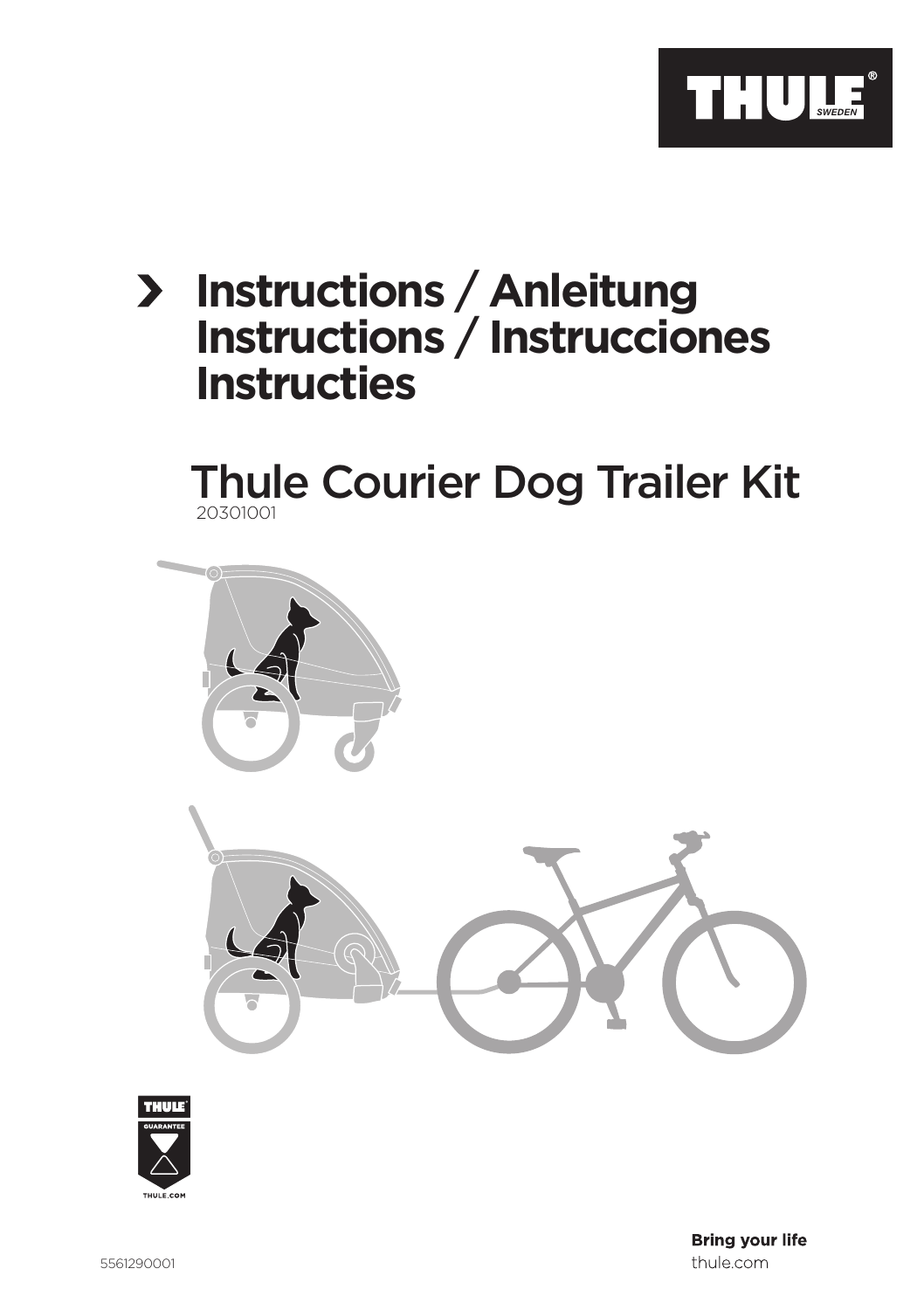

## **Instructions** / **Anleitung Instructions** / **Instrucciones Instructies**

Thule Courier Dog Trailer Kit 20301001







**Bring your life** thule com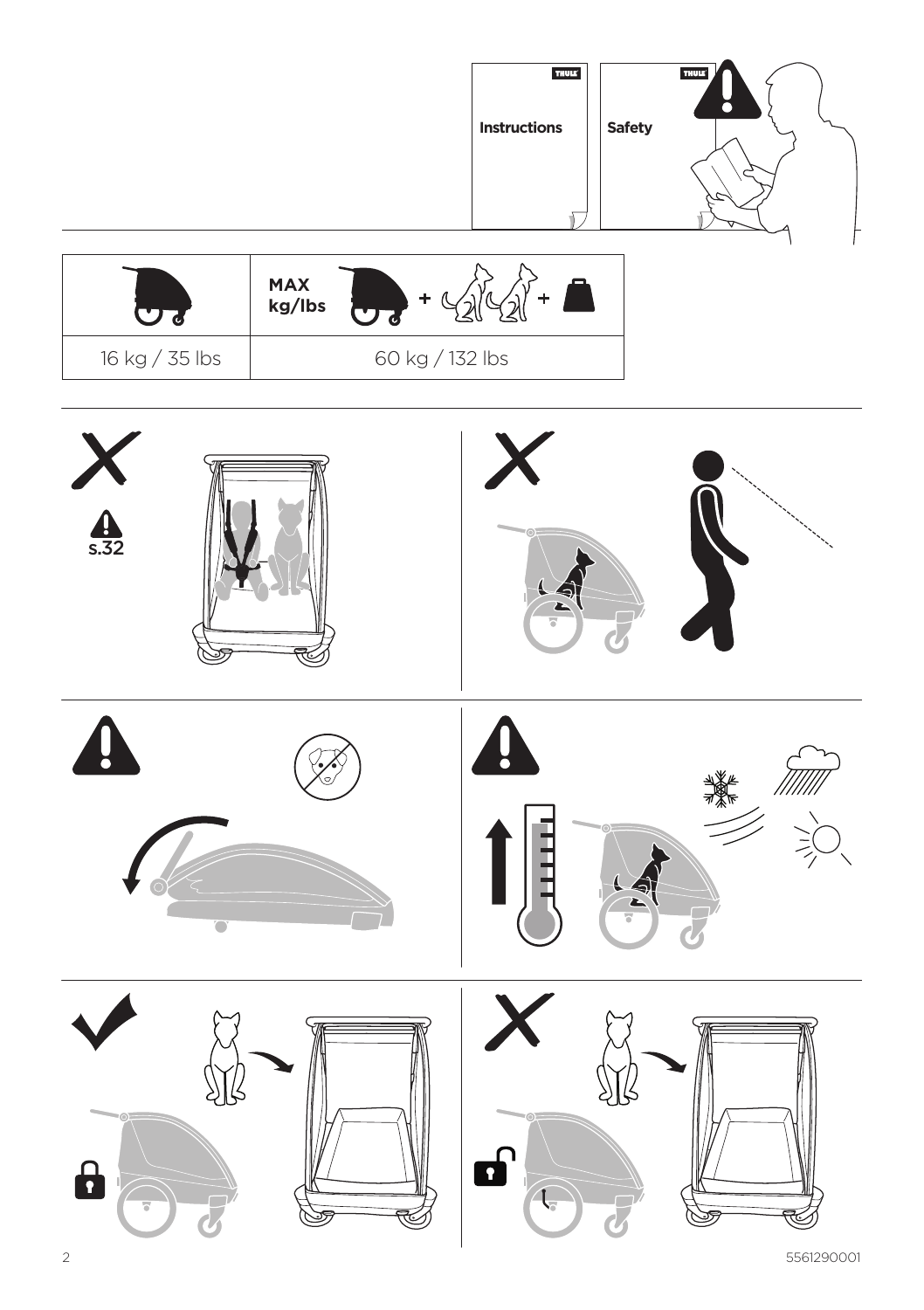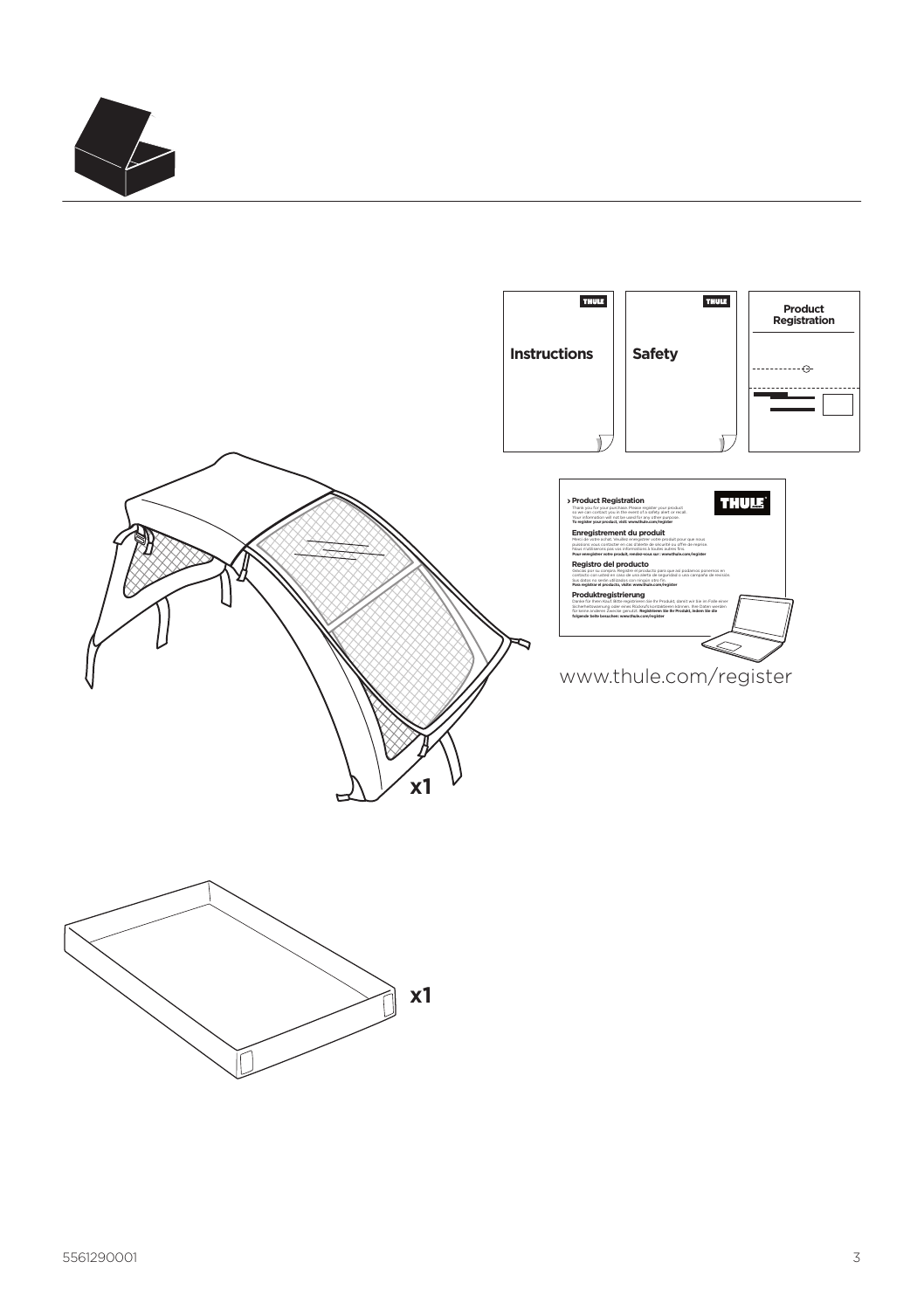



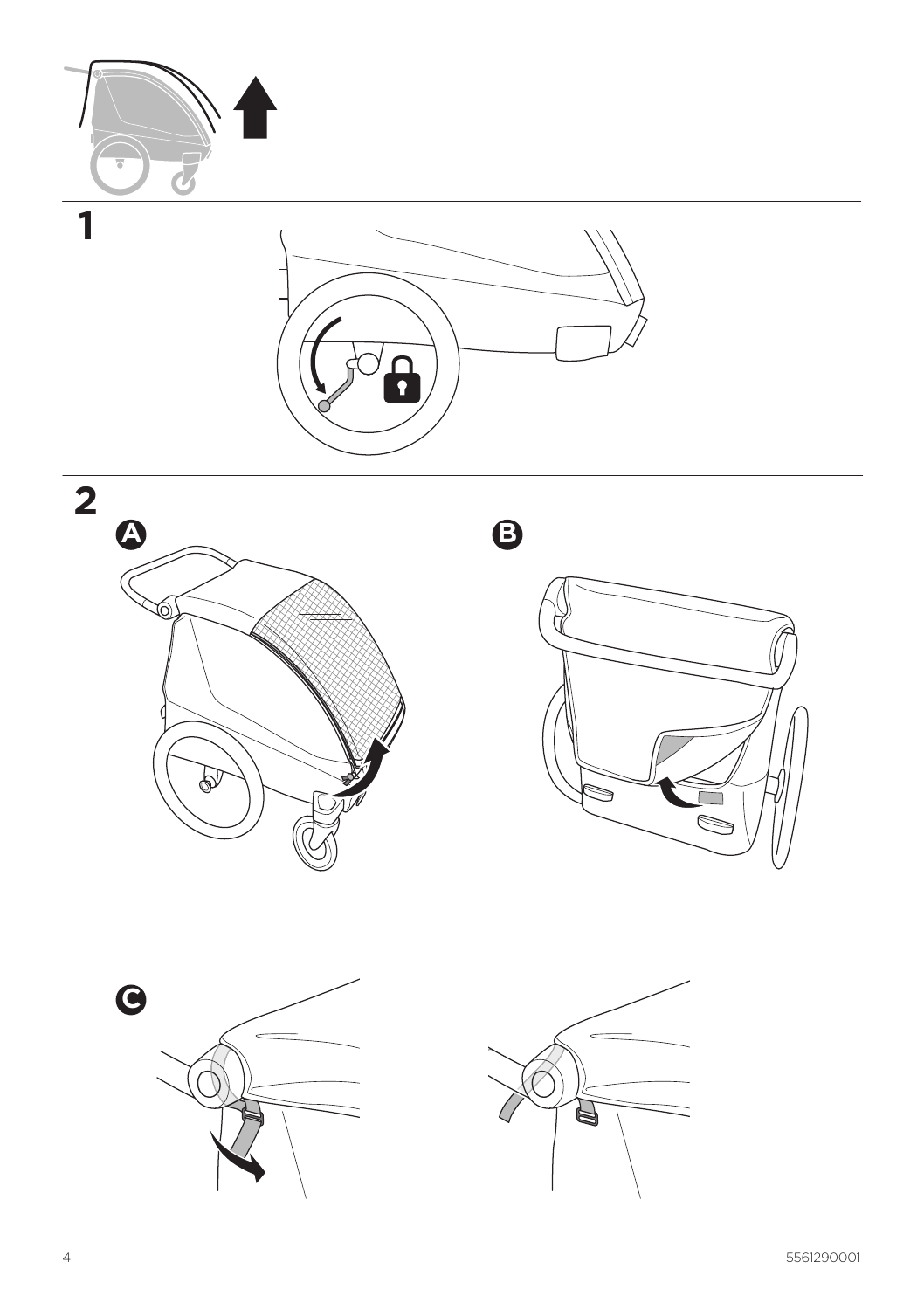



 $\ddot{\boldsymbol{\Theta}}$ 





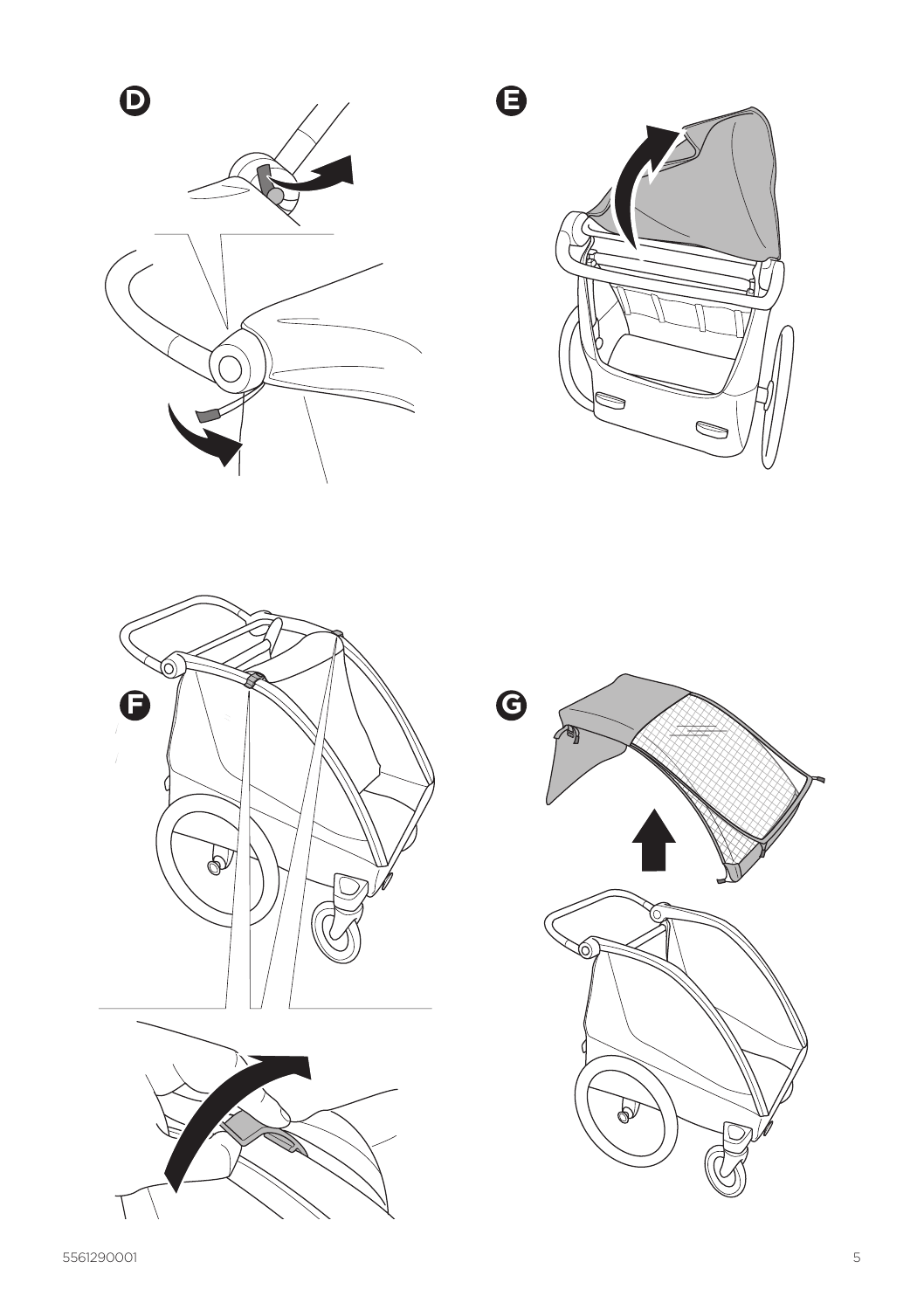





 $\bigodot$ 

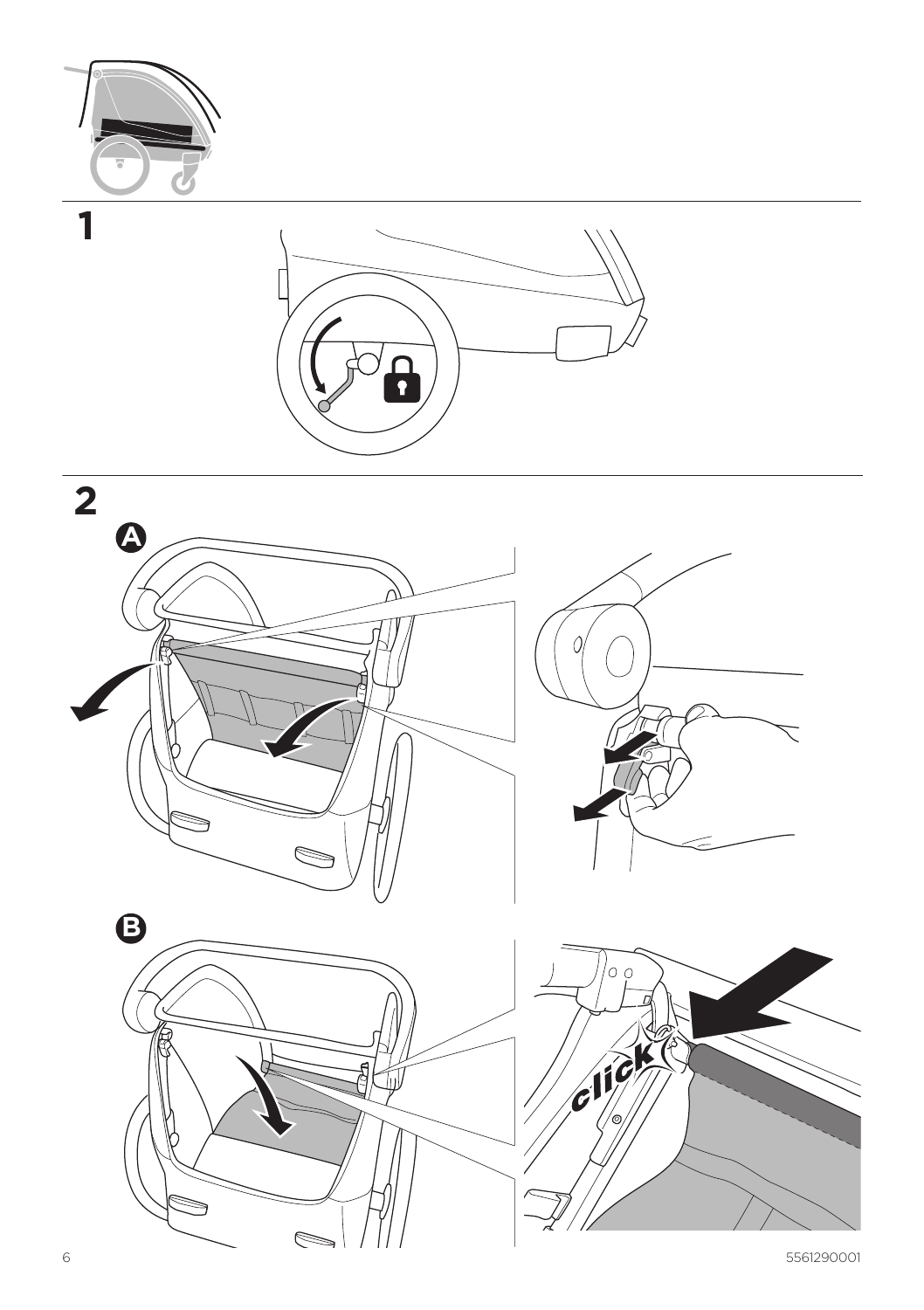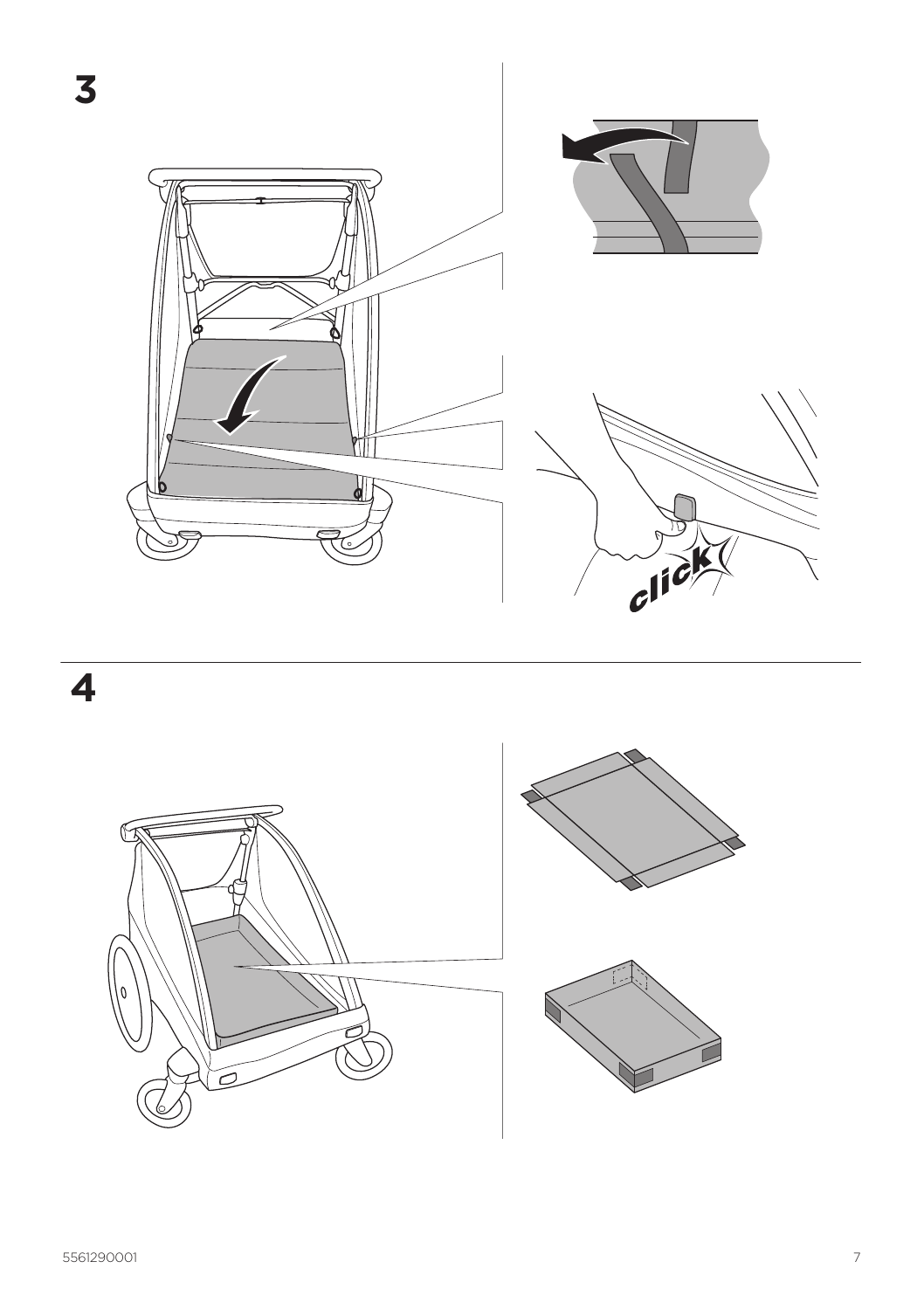





**34** $\overline{\mathbf{4}}$ 

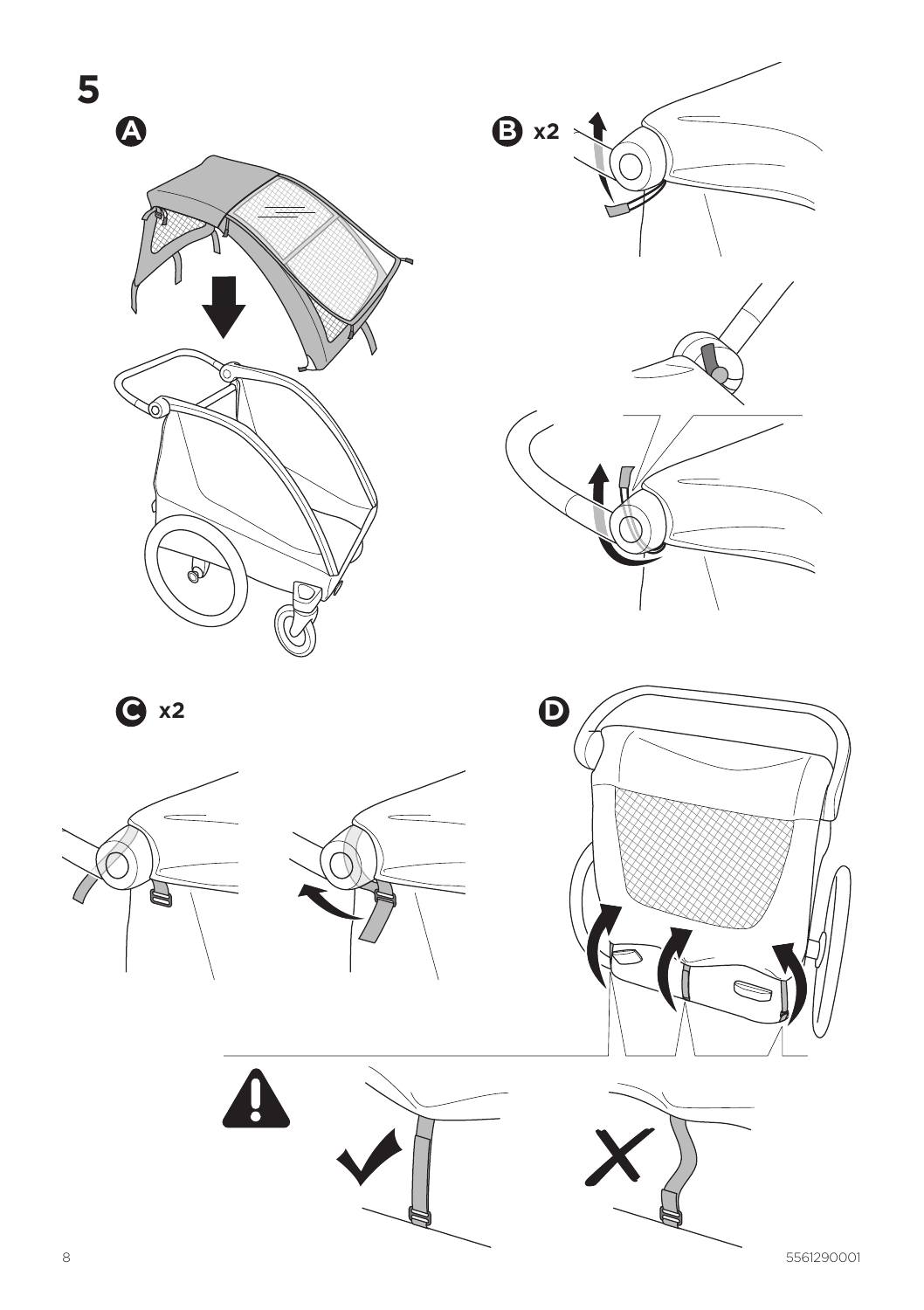

 $\hat{\boldsymbol{\theta}}$ 



 $\bullet$  x2





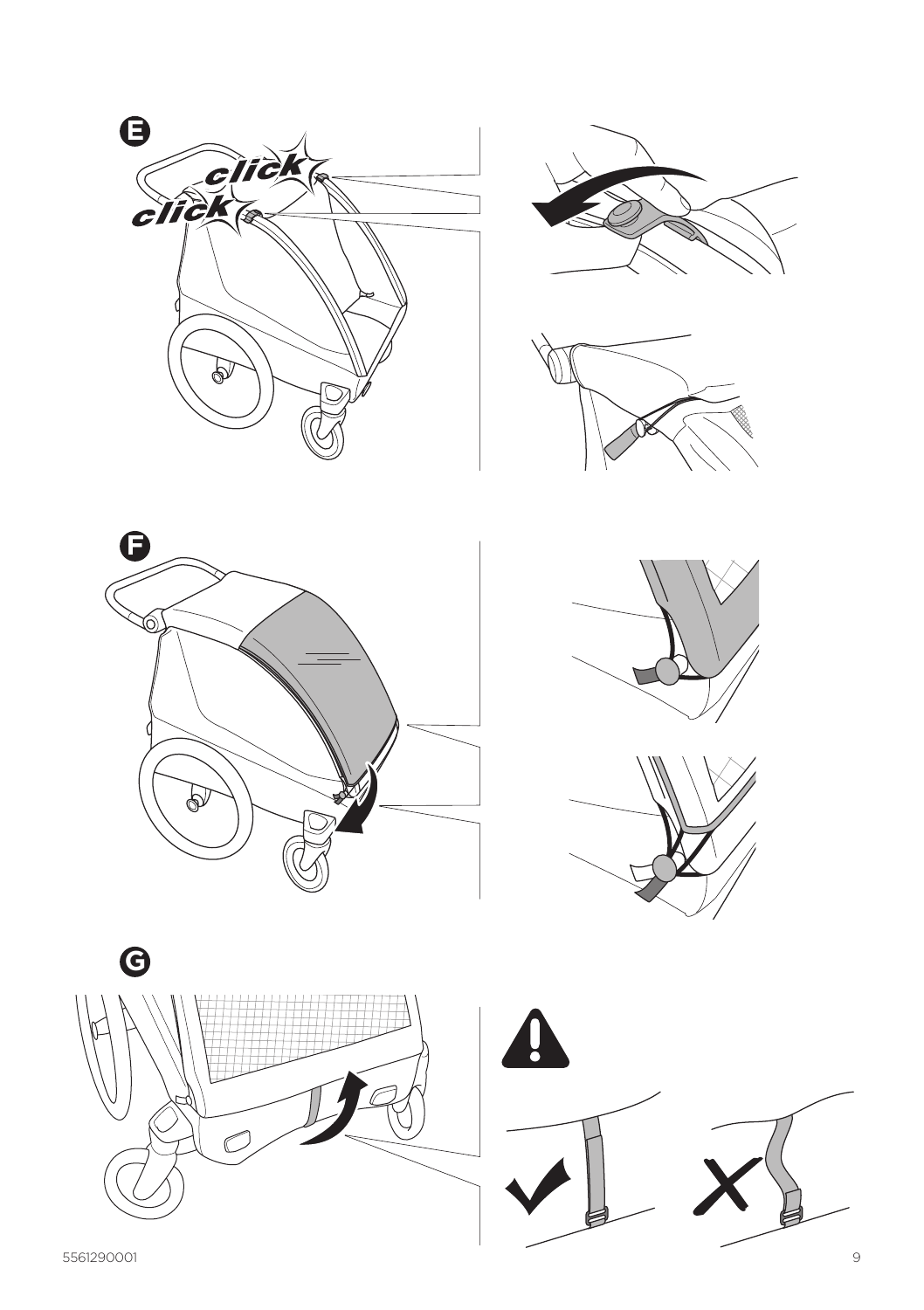











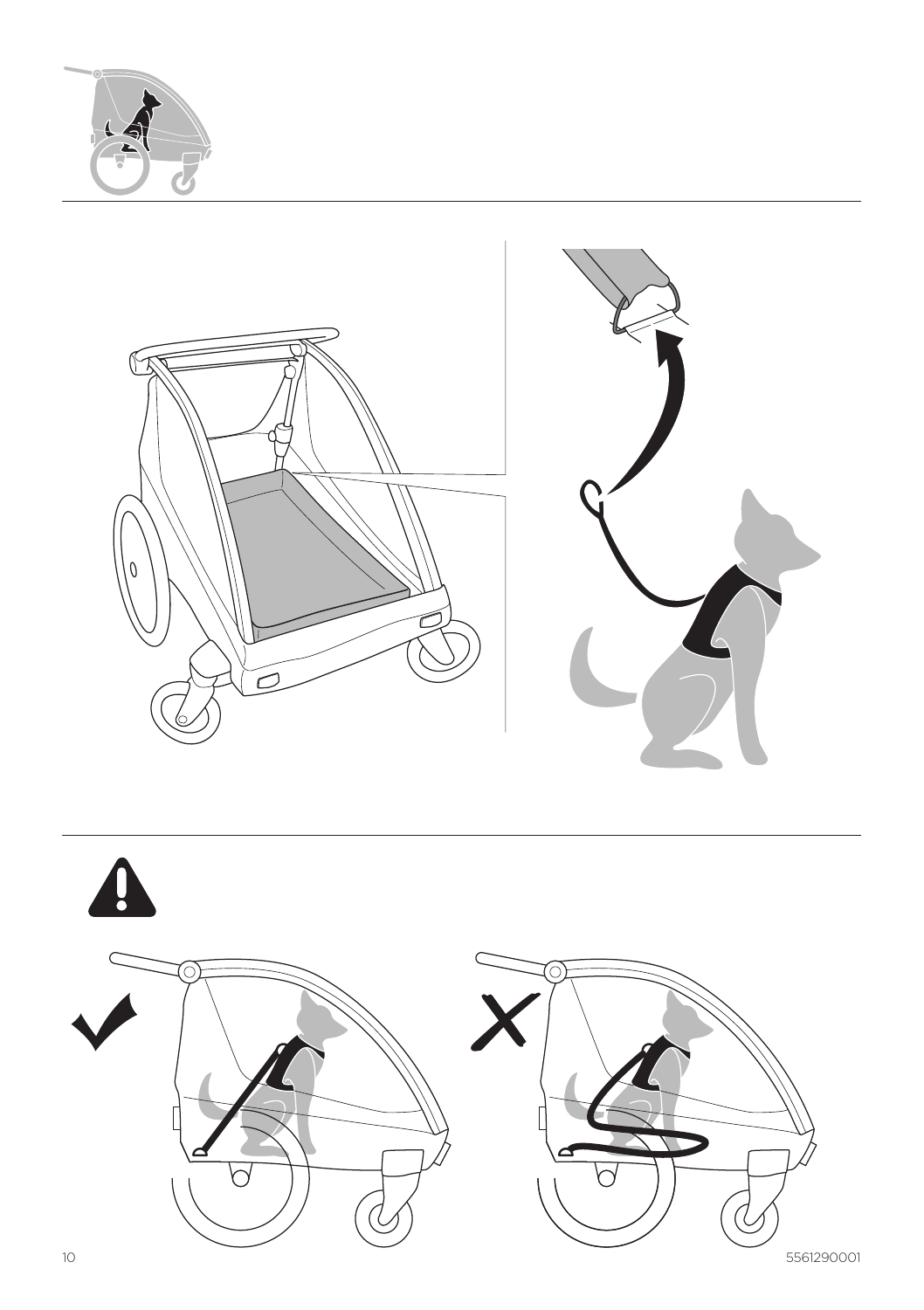



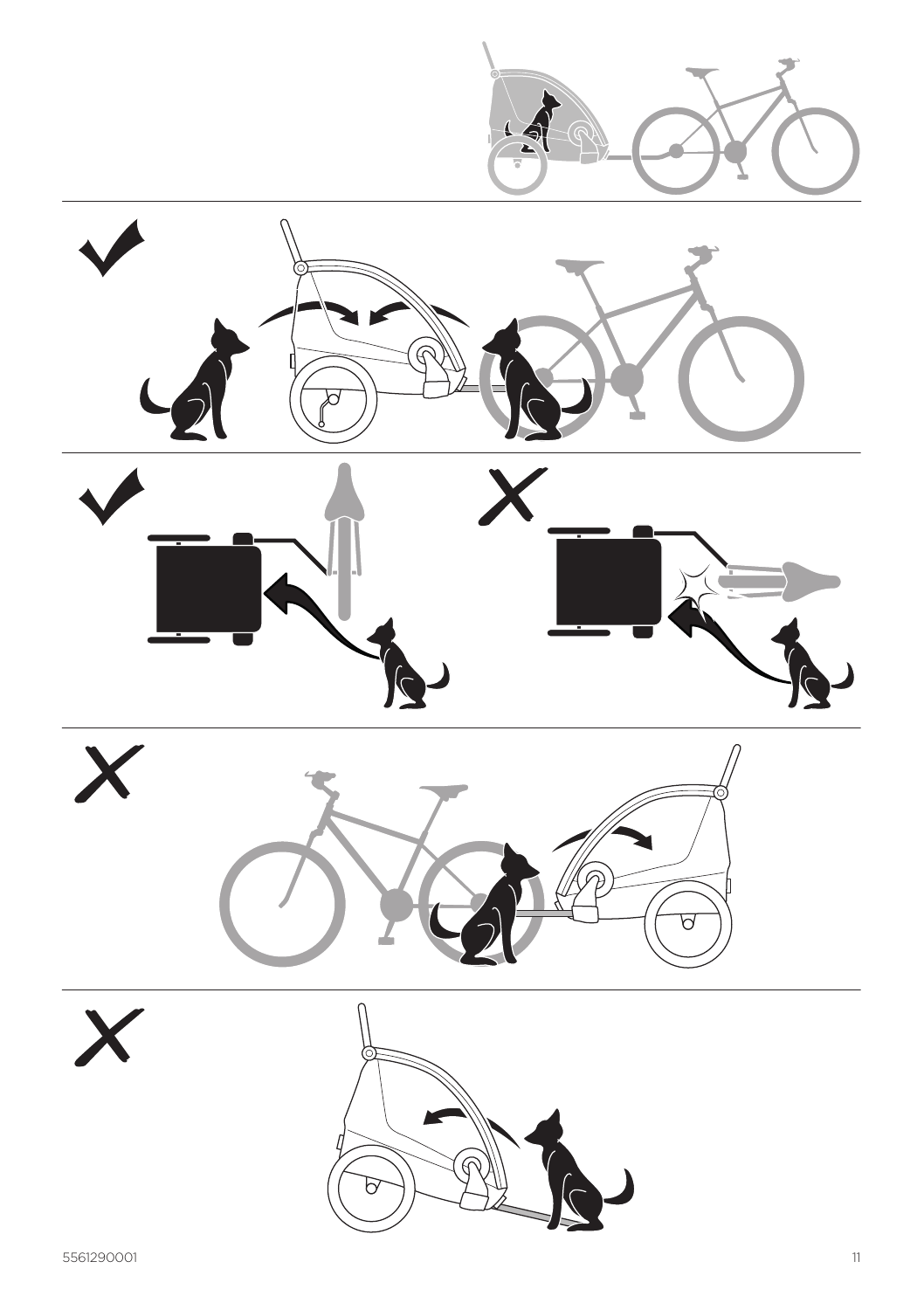





চ

X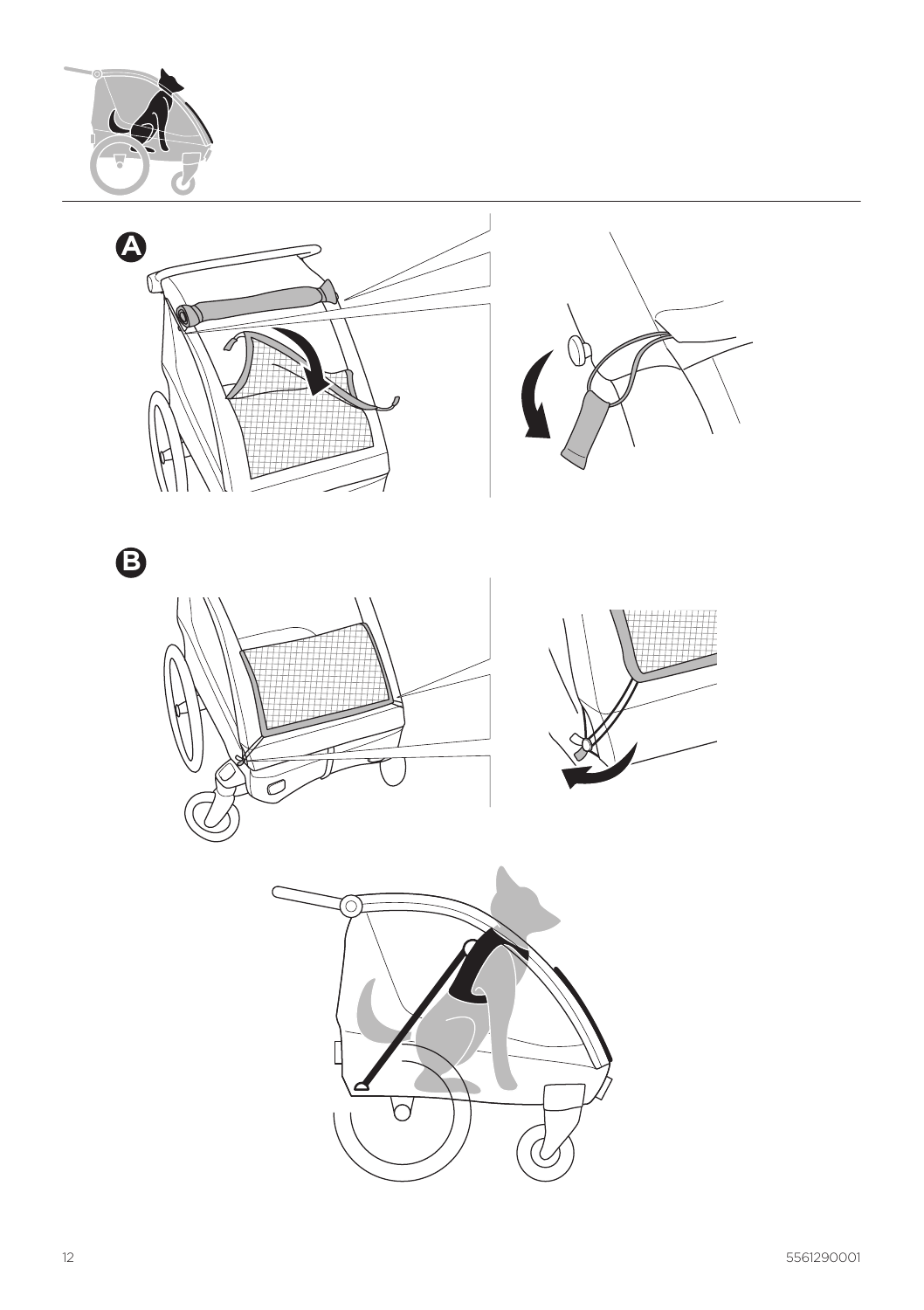





 $\ddot{\boldsymbol{\Theta}}$ 





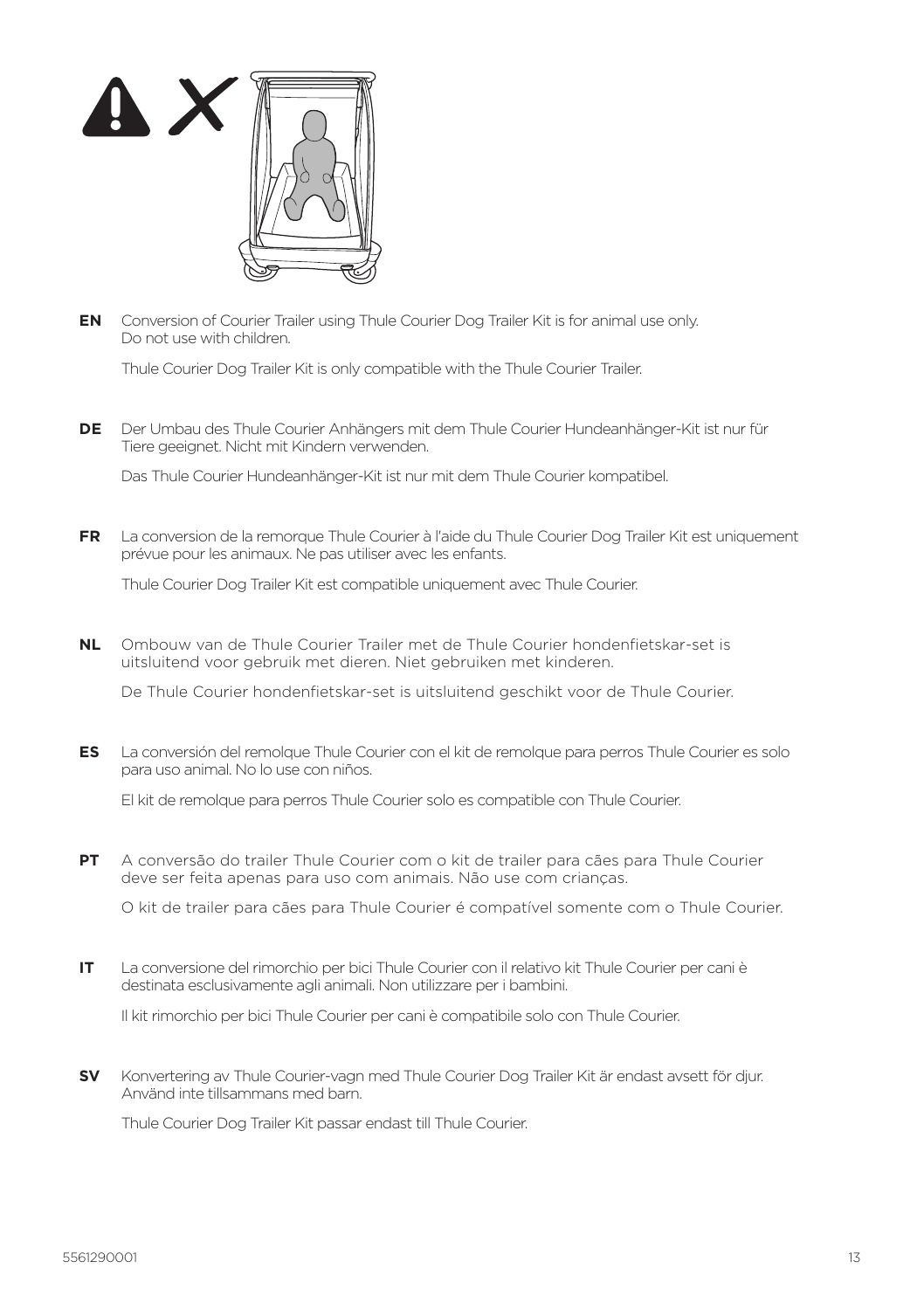

**EN** Conversion of Courier Trailer using Thule Courier Dog Trailer Kit is for animal use only. Do not use with children.

Thule Courier Dog Trailer Kit is only compatible with the Thule Courier Trailer.

**DE** Der Umbau des Thule Courier Anhängers mit dem Thule Courier Hundeanhänger-Kit ist nur für Tiere geeignet. Nicht mit Kindern verwenden.

Das Thule Courier Hundeanhänger-Kit ist nur mit dem Thule Courier kompatibel.

**FR** La conversion de la remorque Thule Courier à l'aide du Thule Courier Dog Trailer Kit est uniquement prévue pour les animaux. Ne pas utiliser avec les enfants.

Thule Courier Dog Trailer Kit est compatible uniquement avec Thule Courier.

**NL** Ombouw van de Thule Courier Trailer met de Thule Courier hondenfietskar-set is uitsluitend voor gebruik met dieren. Niet gebruiken met kinderen.

De Thule Courier hondenfietskar-set is uitsluitend geschikt voor de Thule Courier.

**ES** La conversión del remolque Thule Courier con el kit de remolque para perros Thule Courier es solo para uso animal. No lo use con niños.

El kit de remolque para perros Thule Courier solo es compatible con Thule Courier.

**PT** A conversão do trailer Thule Courier com o kit de trailer para cães para Thule Courier deve ser feita apenas para uso com animais. Não use com crianças.

O kit de trailer para cães para Thule Courier é compatível somente com o Thule Courier.

**IT** La conversione del rimorchio per bici Thule Courier con il relativo kit Thule Courier per cani è destinata esclusivamente agli animali. Non utilizzare per i bambini.

Il kit rimorchio per bici Thule Courier per cani è compatibile solo con Thule Courier.

**SV** Konvertering av Thule Courier-vagn med Thule Courier Dog Trailer Kit är endast avsett för djur. Använd inte tillsammans med barn.

Thule Courier Dog Trailer Kit passar endast till Thule Courier.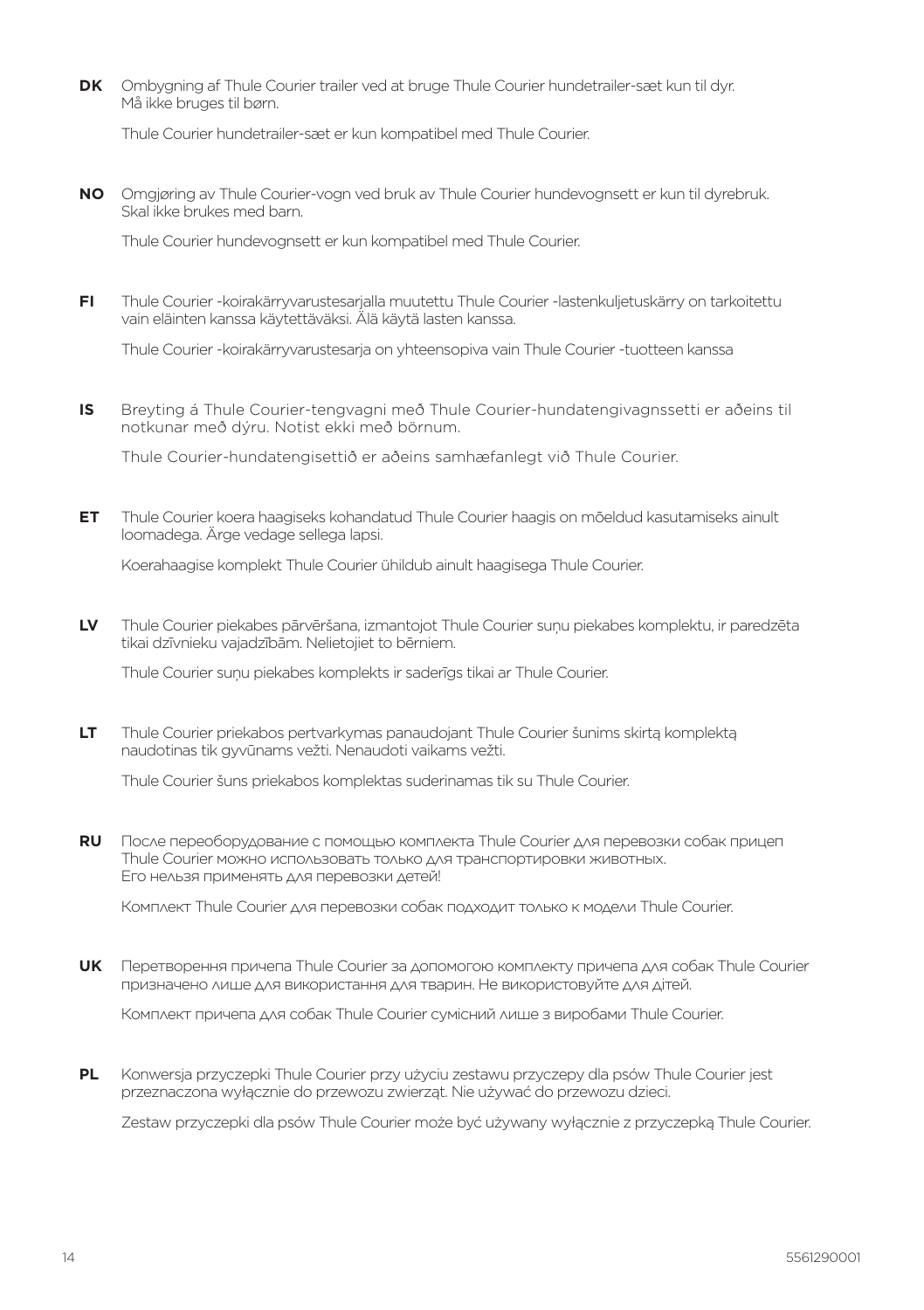**DK** Ombygning af Thule Courier trailer ved at bruge Thule Courier hundetrailer-sæt kun til dyr. Må ikke bruges til børn.

Thule Courier hundetrailer-sæt er kun kompatibel med Thule Courier.

**NO** Omgjøring av Thule Courier-vogn ved bruk av Thule Courier hundevognsett er kun til dyrebruk. Skal ikke brukes med barn.

Thule Courier hundevognsett er kun kompatibel med Thule Courier.

**FI** Thule Courier -koirakärryvarustesarjalla muutettu Thule Courier -lastenkuljetuskärry on tarkoitettu vain eläinten kanssa käytettäväksi. Älä käytä lasten kanssa.

Thule Courier -koirakärryvarustesarja on yhteensopiva vain Thule Courier -tuotteen kanssa

**IS** Breyting á Thule Courier-tengvagni með Thule Courier-hundatengivagnssetti er aðeins til notkunar með dýru. Notist ekki með börnum.

Thule Courier-hundatengisettið er aðeins samhæfanlegt við Thule Courier.

**ET** Thule Courier koera haagiseks kohandatud Thule Courier haagis on mõeldud kasutamiseks ainult loomadega. Ärge vedage sellega lapsi.

Koerahaagise komplekt Thule Courier ühildub ainult haagisega Thule Courier.

**LV** Thule Courier piekabes pārvēršana, izmantojot Thule Courier suņu piekabes komplektu, ir paredzēta tikai dzīvnieku vajadzībām. Nelietojiet to bērniem.

Thule Courier suņu piekabes komplekts ir saderīgs tikai ar Thule Courier.

**LT** Thule Courier priekabos pertvarkymas panaudojant Thule Courier šunims skirtą komplektą naudotinas tik gyvūnams vežti. Nenaudoti vaikams vežti.

Thule Courier šuns priekabos komplektas suderinamas tik su Thule Courier.

**RU** После переоборудование с помощью комплекта Thule Courier для перевозки собак прицеп Thule Courier можно использовать только для транспортировки животных. Его нельзя применять для перевозки детей!

Комплект Thule Courier для перевозки собак подходит только к модели Thule Courier.

**UK** Перетворення причепа Thule Courier за допомогою комплекту причепа для собак Thule Courier призначено лише для використання для тварин. Не використовуйте для дітей.

Комплект причепа для собак Thule Courier сумісний лише з виробами Thule Courier.

**PL** Konwersja przyczepki Thule Courier przy użyciu zestawu przyczepy dla psów Thule Courier jest przeznaczona wyłącznie do przewozu zwierząt. Nie używać do przewozu dzieci.

Zestaw przyczepki dla psów Thule Courier może być używany wyłącznie z przyczepką Thule Courier.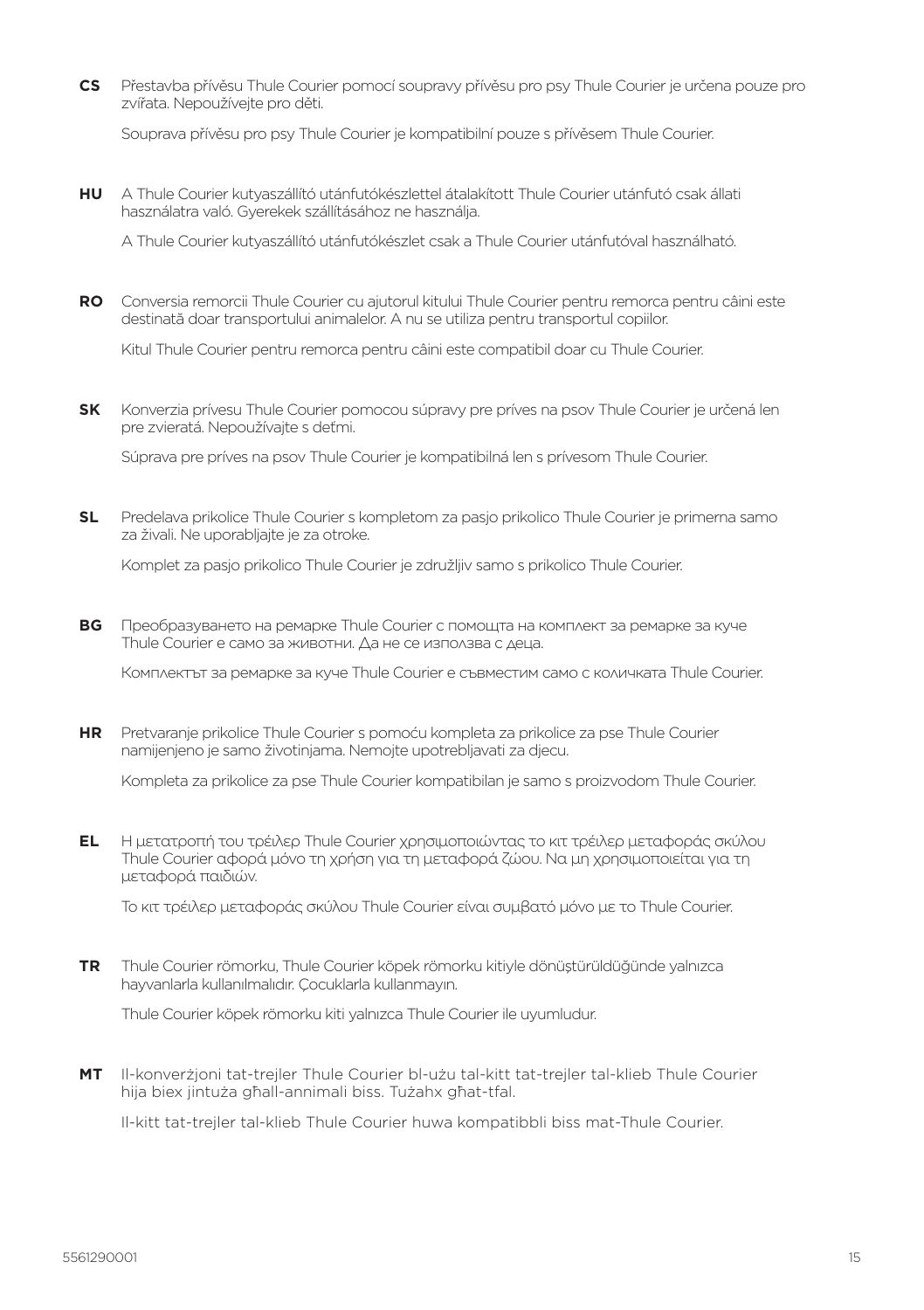**CS** Přestavba přívěsu Thule Courier pomocí soupravy přívěsu pro psy Thule Courier je určena pouze pro zvířata. Nepoužívejte pro děti.

Souprava přívěsu pro psy Thule Courier je kompatibilní pouze s přívěsem Thule Courier.

**HU** A Thule Courier kutyaszállító utánfutókészlettel átalakított Thule Courier utánfutó csak állati használatra való. Gyerekek szállításához ne használja.

A Thule Courier kutyaszállító utánfutókészlet csak a Thule Courier utánfutóval használható.

**RO** Conversia remorcii Thule Courier cu ajutorul kitului Thule Courier pentru remorca pentru câini este destinată doar transportului animalelor. A nu se utiliza pentru transportul copiilor.

Kitul Thule Courier pentru remorca pentru câini este compatibil doar cu Thule Courier.

**SK** Konverzia prívesu Thule Courier pomocou súpravy pre príves na psov Thule Courier je určená len pre zvieratá. Nepoužívajte s deťmi.

Súprava pre príves na psov Thule Courier je kompatibilná len s prívesom Thule Courier.

**SL** Predelava prikolice Thule Courier s kompletom za pasjo prikolico Thule Courier je primerna samo za živali. Ne uporabljajte je za otroke.

Komplet za pasjo prikolico Thule Courier je združljiv samo s prikolico Thule Courier.

**BG** Преобразуването на ремарке Thule Courier с помощта на комплект за ремарке за куче Thule Courier е само за животни. Да не се използва с деца.

Комплектът за ремарке за куче Thule Courier е съвместим само с количката Thule Courier.

**HR** Pretvaranje prikolice Thule Courier s pomoću kompleta za prikolice za pse Thule Courier namijenjeno je samo životinjama. Nemojte upotrebljavati za djecu.

Kompleta za prikolice za pse Thule Courier kompatibilan je samo s proizvodom Thule Courier.

**EL** Η μετατροπή του τρέιλερ Thule Courier χρησιμοποιώντας το κιτ τρέιλερ μεταφοράς σκύλου Thule Courier αφορά μόνο τη χρήση για τη μεταφορά ζώου. Να μη χρησιμοποιείται για τη μεταφορά παιδιών.

Το κιτ τρέιλερ μεταφοράς σκύλου Thule Courier είναι συμβατό μόνο με το Thule Courier.

**TR** Thule Courier römorku, Thule Courier köpek römorku kitiyle dönüştürüldüğünde yalnızca hayvanlarla kullanılmalıdır. Çocuklarla kullanmayın.

Thule Courier köpek römorku kiti yalnızca Thule Courier ile uyumludur.

**MT** Il-konverżjoni tat-trejler Thule Courier bl-użu tal-kitt tat-trejler tal-klieb Thule Courier hija biex jintuża għall-annimali biss. Tużahx għat-tfal.

Il-kitt tat-trejler tal-klieb Thule Courier huwa kompatibbli biss mat-Thule Courier.